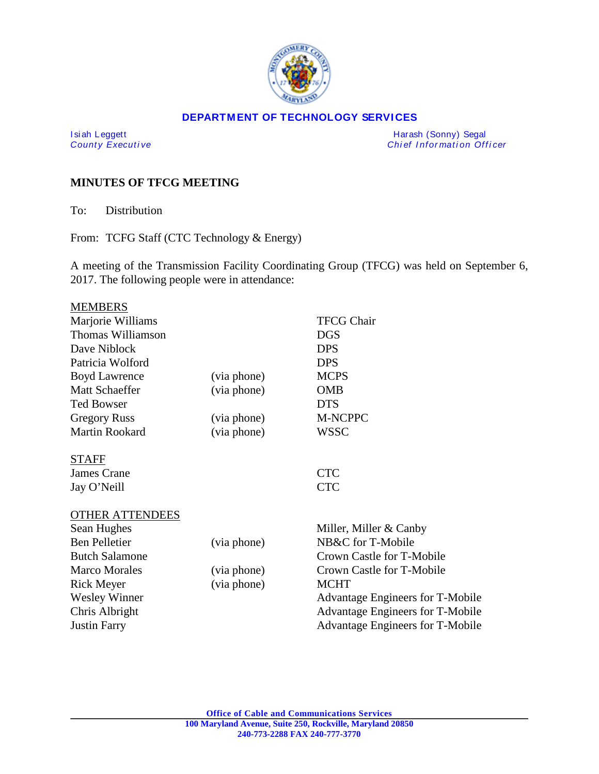

#### **DEPARTMENT OF TECHNOLOGY SERVICES**

I si ah Leggett Harash (Sonny) Segal *Chief Information Officer* 

# **MINUTES OF TFCG MEETING**

To: Distribution

From: TCFG Staff (CTC Technology & Energy)

A meeting of the Transmission Facility Coordinating Group (TFCG) was held on September 6, 2017. The following people were in attendance:

| <b>MEMBERS</b>         |             |                                  |
|------------------------|-------------|----------------------------------|
| Marjorie Williams      |             | <b>TFCG Chair</b>                |
| Thomas Williamson      |             | <b>DGS</b>                       |
| Dave Niblock           |             | <b>DPS</b>                       |
| Patricia Wolford       |             | <b>DPS</b>                       |
| <b>Boyd Lawrence</b>   | (via phone) | <b>MCPS</b>                      |
| Matt Schaeffer         | (via phone) | <b>OMB</b>                       |
| <b>Ted Bowser</b>      |             | <b>DTS</b>                       |
| <b>Gregory Russ</b>    | (via phone) | M-NCPPC                          |
| Martin Rookard         | (via phone) | <b>WSSC</b>                      |
| <b>STAFF</b>           |             |                                  |
| James Crane            |             | <b>CTC</b>                       |
| Jay O'Neill            |             | <b>CTC</b>                       |
| <b>OTHER ATTENDEES</b> |             |                                  |
| Sean Hughes            |             | Miller, Miller & Canby           |
| <b>Ben Pelletier</b>   | (via phone) | NB&C for T-Mobile                |
| <b>Butch Salamone</b>  |             | Crown Castle for T-Mobile        |
| <b>Marco Morales</b>   | (via phone) | Crown Castle for T-Mobile        |
| <b>Rick Meyer</b>      | (via phone) | <b>MCHT</b>                      |
| <b>Wesley Winner</b>   |             | Advantage Engineers for T-Mobile |
| Chris Albright         |             | Advantage Engineers for T-Mobile |
| <b>Justin Farry</b>    |             | Advantage Engineers for T-Mobile |
|                        |             |                                  |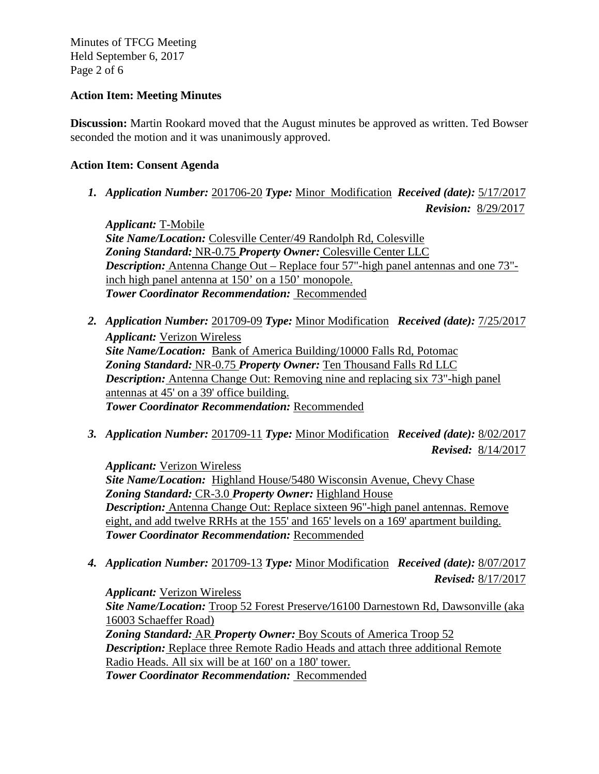Minutes of TFCG Meeting Held September 6, 2017 Page 2 of 6

### **Action Item: Meeting Minutes**

**Discussion:** Martin Rookard moved that the August minutes be approved as written. Ted Bowser seconded the motion and it was unanimously approved.

### **Action Item: Consent Agenda**

*1. Application Number:* 201706-20 *Type:* Minor Modification *Received (date):* 5/17/2017

 *Revision:* 8/29/2017

*Applicant:* T-Mobile *Site Name/Location:* Colesville Center/49 Randolph Rd, Colesville *Zoning Standard:* NR-0.75 *Property Owner:* Colesville Center LLC *Description:* Antenna Change Out – Replace four 57"-high panel antennas and one 73" inch high panel antenna at 150' on a 150' monopole. *Tower Coordinator Recommendation:* Recommended

- *2. Application Number:* 201709-09 *Type:* Minor Modification *Received (date):* 7/25/2017 *Applicant:* Verizon Wireless *Site Name/Location:* Bank of America Building/10000 Falls Rd, Potomac *Zoning Standard:* NR-0.75 *Property Owner:* Ten Thousand Falls Rd LLC *Description:* Antenna Change Out: Removing nine and replacing six 73"-high panel antennas at 45' on a 39' office building. *Tower Coordinator Recommendation:* Recommended
- *3. Application Number:* 201709-11 *Type:* Minor Modification *Received (date):* 8/02/2017  *Revised:* 8/14/2017

*Applicant:* Verizon Wireless *Site Name/Location:* Highland House/5480 Wisconsin Avenue, Chevy Chase *Zoning Standard:* CR-3.0 *Property Owner:* Highland House *Description:* Antenna Change Out: Replace sixteen 96"-high panel antennas. Remove eight, and add twelve RRHs at the 155' and 165' levels on a 169' apartment building. *Tower Coordinator Recommendation:* Recommended

*4. Application Number:* 201709-13 *Type:* Minor Modification *Received (date):* 8/07/2017  *Revised:* 8/17/2017

*Applicant:* Verizon Wireless *Site Name/Location:* Troop 52 Forest Preserve*/*16100 Darnestown Rd, Dawsonville (aka 16003 Schaeffer Road) *Zoning Standard:* AR *Property Owner:* Boy Scouts of America Troop 52 *Description:* Replace three Remote Radio Heads and attach three additional Remote Radio Heads. All six will be at 160' on a 180' tower. *Tower Coordinator Recommendation:* Recommended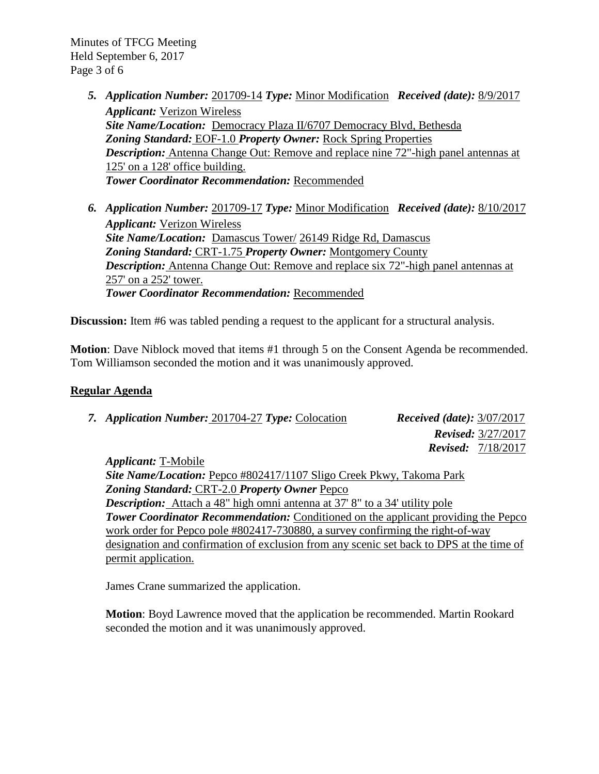Minutes of TFCG Meeting Held September 6, 2017 Page 3 of 6

- *5. Application Number:* 201709-14 *Type:* Minor Modification *Received (date):* 8/9/2017 *Applicant:* Verizon Wireless *Site Name/Location:* Democracy Plaza II/6707 Democracy Blvd, Bethesda *Zoning Standard:* EOF-1.0 *Property Owner:* Rock Spring Properties *Description:* Antenna Change Out: Remove and replace nine 72"-high panel antennas at 125' on a 128' office building. *Tower Coordinator Recommendation:* Recommended
- *6. Application Number:* 201709-17 *Type:* Minor Modification *Received (date):* 8/10/2017 *Applicant:* Verizon Wireless *Site Name/Location:* Damascus Tower/ 26149 Ridge Rd, Damascus *Zoning Standard:* CRT-1.75 *Property Owner:* Montgomery County *Description:* Antenna Change Out: Remove and replace six 72"-high panel antennas at 257' on a 252' tower. *Tower Coordinator Recommendation:* Recommended

**Discussion:** Item #6 was tabled pending a request to the applicant for a structural analysis.

**Motion**: Dave Niblock moved that items #1 through 5 on the Consent Agenda be recommended. Tom Williamson seconded the motion and it was unanimously approved.

#### **Regular Agenda**

| 7. Application Number: 201704-27 Type: Colocation | <i>Received (date):</i> $3/07/2017$ |
|---------------------------------------------------|-------------------------------------|
|                                                   | <b>Revised:</b> $3/27/2017$         |
|                                                   | <b>Revised:</b> $7/18/2017$         |
|                                                   |                                     |

*Applicant:* T-Mobile *Site Name/Location:* Pepco #802417/1107 Sligo Creek Pkwy, Takoma Park *Zoning Standard:* CRT-2.0 *Property Owner* Pepco *Description:* Attach a 48" high omni antenna at 37' 8" to a 34' utility pole **Tower Coordinator Recommendation:** Conditioned on the applicant providing the Pepco work order for Pepco pole #802417-730880, a survey confirming the right-of-way designation and confirmation of exclusion from any scenic set back to DPS at the time of permit application.

James Crane summarized the application.

**Motion**: Boyd Lawrence moved that the application be recommended. Martin Rookard seconded the motion and it was unanimously approved.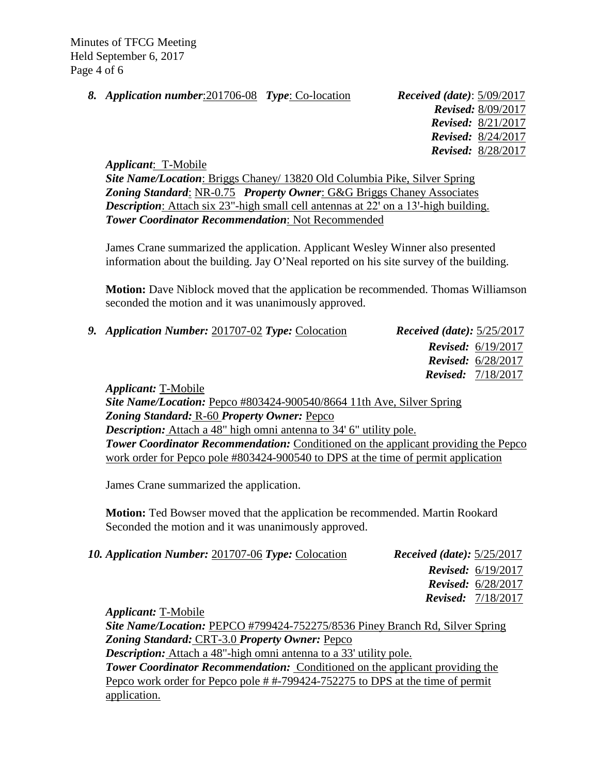Minutes of TFCG Meeting Held September 6, 2017 Page 4 of 6

*8. Application number*:201706-08 *Type*: Co-location *Received (date)*: 5/09/2017

 *Revised:* 8/09/2017  *Revised:* 8/21/2017 *Revised:* 8/24/2017  *Revised:* 8/28/2017

*Applicant*: T-Mobile

*Site Name/Location*: Briggs Chaney/ 13820 Old Columbia Pike, Silver Spring *Zoning Standard*: NR-0.75 *Property Owner*: G&G Briggs Chaney Associates *Description*: Attach six 23"-high small cell antennas at 22' on a 13'-high building. *Tower Coordinator Recommendation*: Not Recommended

James Crane summarized the application. Applicant Wesley Winner also presented information about the building. Jay O'Neal reported on his site survey of the building.

**Motion:** Dave Niblock moved that the application be recommended. Thomas Williamson seconded the motion and it was unanimously approved.

| 9. Application Number: 201707-02 Type: Colocation                                                                                                  | <i>Received (date):</i> $5/25/2017$ |                             |
|----------------------------------------------------------------------------------------------------------------------------------------------------|-------------------------------------|-----------------------------|
|                                                                                                                                                    |                                     | <b>Revised:</b> $6/19/2017$ |
|                                                                                                                                                    |                                     | <b>Revised:</b> $6/28/2017$ |
|                                                                                                                                                    |                                     | <b>Revised:</b> $7/18/2017$ |
| <i>Applicant:</i> T-Mobile                                                                                                                         |                                     |                             |
| $C_{14}$ , $M_{\text{max}}/I$ continue $D_{\text{max}}$ $\#002424$ $000540/00001$ $114$ , $\Lambda_{\text{max}}$ $C_{\text{max}}$ $D_{\text{min}}$ |                                     |                             |

*Site Name/Location:* Pepco #803424-900540/8664 11th Ave, Silver Spring *Zoning Standard:* R-60 *Property Owner:* Pepco *Description:* Attach a 48" high omni antenna to 34' 6" utility pole. **Tower Coordinator Recommendation:** Conditioned on the applicant providing the Pepco work order for Pepco pole #803424-900540 to DPS at the time of permit application

James Crane summarized the application.

**Motion:** Ted Bowser moved that the application be recommended. Martin Rookard Seconded the motion and it was unanimously approved.

| 10. Application Number: 201707-06 Type: Colocation | <i>Received (date):</i> $5/25/2017$ |
|----------------------------------------------------|-------------------------------------|
|                                                    | <b>Revised:</b> $6/19/2017$         |
|                                                    | <b>Revised:</b> $6/28/2017$         |
|                                                    | <b>Revised:</b> $7/18/2017$         |
| <i>Applicant:</i> T-Mobile                         |                                     |

*Site Name/Location:* PEPCO #799424-752275/8536 Piney Branch Rd, Silver Spring *Zoning Standard:* CRT-3.0 *Property Owner:* Pepco *Description:* Attach a 48"-high omni antenna to a 33' utility pole. *Tower Coordinator Recommendation:* Conditioned on the applicant providing the Pepco work order for Pepco pole # #-799424-752275 to DPS at the time of permit application.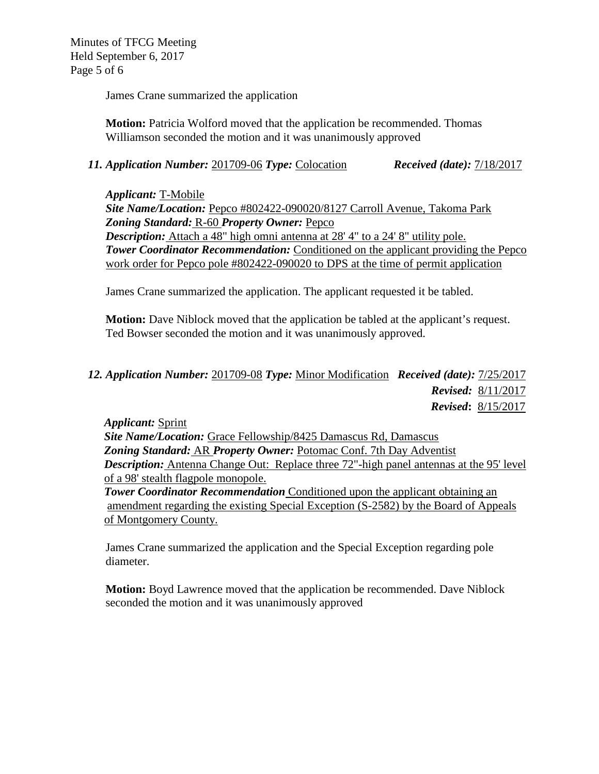Minutes of TFCG Meeting Held September 6, 2017 Page 5 of 6

James Crane summarized the application

**Motion:** Patricia Wolford moved that the application be recommended. Thomas Williamson seconded the motion and it was unanimously approved

# *11. Application Number:* 201709-06 *Type:* Colocation *Received (date):* 7/18/2017

*Applicant:* T-Mobile *Site Name/Location:* Pepco #802422-090020/8127 Carroll Avenue, Takoma Park *Zoning Standard:* R-60 *Property Owner:* Pepco *Description:* Attach a 48" high omni antenna at 28' 4" to a 24' 8" utility pole. *Tower Coordinator Recommendation:* Conditioned on the applicant providing the Pepco work order for Pepco pole #802422-090020 to DPS at the time of permit application

James Crane summarized the application. The applicant requested it be tabled.

**Motion:** Dave Niblock moved that the application be tabled at the applicant's request. Ted Bowser seconded the motion and it was unanimously approved.

# *12. Application Number:* 201709-08 *Type:* Minor Modification *Received (date):* 7/25/2017  *Revised:* 8/11/2017  *Revised***:** 8/15/2017

*Applicant:* Sprint *Site Name/Location:* Grace Fellowship/8425 Damascus Rd, Damascus *Zoning Standard:* AR *Property Owner:* Potomac Conf. 7th Day Adventist *Description:* Antenna Change Out: Replace three 72"-high panel antennas at the 95' level of a 98' stealth flagpole monopole. *Tower Coordinator Recommendation* Conditioned upon the applicant obtaining an amendment regarding the existing Special Exception (S-2582) by the Board of Appeals of Montgomery County.

James Crane summarized the application and the Special Exception regarding pole diameter.

**Motion:** Boyd Lawrence moved that the application be recommended. Dave Niblock seconded the motion and it was unanimously approved